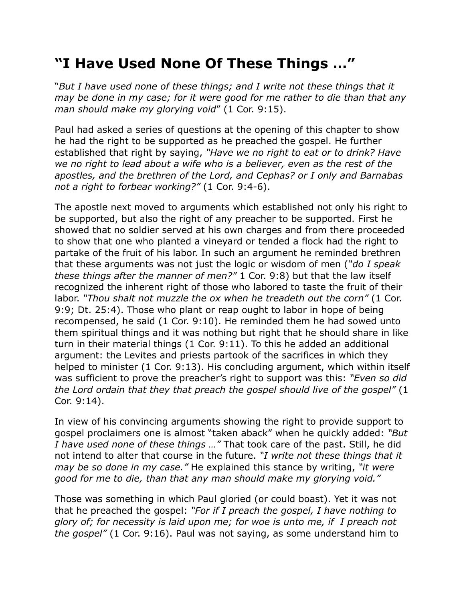## **"I Have Used None Of These Things …"**

"*But I have used none of these things; and I write not these things that it may be done in my case; for it were good for me rather to die than that any man should make my glorying void*" (1 Cor. 9:15).

Paul had asked a series of questions at the opening of this chapter to show he had the right to be supported as he preached the gospel. He further established that right by saying, *"Have we no right to eat or to drink? Have we no right to lead about a wife who is a believer, even as the rest of the apostles, and the brethren of the Lord, and Cephas? or I only and Barnabas not a right to forbear working?"* (1 Cor. 9:4-6).

The apostle next moved to arguments which established not only his right to be supported, but also the right of any preacher to be supported. First he showed that no soldier served at his own charges and from there proceeded to show that one who planted a vineyard or tended a flock had the right to partake of the fruit of his labor. In such an argument he reminded brethren that these arguments was not just the logic or wisdom of men (*"do I speak these things after the manner of men?"* 1 Cor. 9:8) but that the law itself recognized the inherent right of those who labored to taste the fruit of their labor. *"Thou shalt not muzzle the ox when he treadeth out the corn"* (1 Cor. 9:9; Dt. 25:4). Those who plant or reap ought to labor in hope of being recompensed, he said (1 Cor. 9:10). He reminded them he had sowed unto them spiritual things and it was nothing but right that he should share in like turn in their material things (1 Cor. 9:11). To this he added an additional argument: the Levites and priests partook of the sacrifices in which they helped to minister (1 Cor. 9:13). His concluding argument, which within itself was sufficient to prove the preacher's right to support was this: *"Even so did the Lord ordain that they that preach the gospel should live of the gospel"* (1 Cor. 9:14).

In view of his convincing arguments showing the right to provide support to gospel proclaimers one is almost "taken aback" when he quickly added: *"But I have used none of these things …"* That took care of the past. Still, he did not intend to alter that course in the future. *"I write not these things that it may be so done in my case."* He explained this stance by writing, *"it were good for me to die, than that any man should make my glorying void."*

Those was something in which Paul gloried (or could boast). Yet it was not that he preached the gospel: *"For if I preach the gospel, I have nothing to glory of; for necessity is laid upon me; for woe is unto me, if I preach not the gospel"* (1 Cor. 9:16). Paul was not saying, as some understand him to